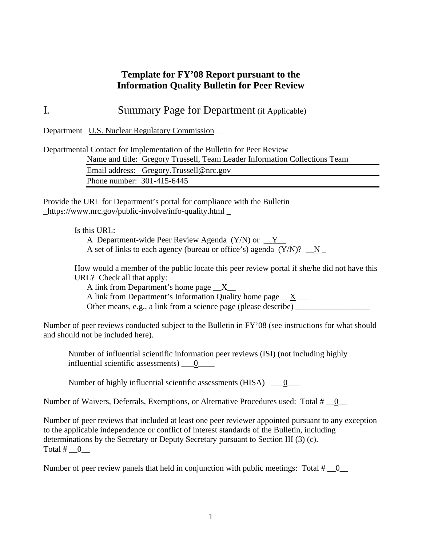### **Template for FY'08 Report pursuant to the Information Quality Bulletin for Peer Review**

## I*.* Summary Page for Department (if Applicable)

Department U.S. Nuclear Regulatory Commission

Departmental Contact for Implementation of the Bulletin for Peer Review Name and title: Gregory Trussell, Team Leader Information Collections Team Email address: Gregory.Trussell@nrc.gov Phone number: 301-415-6445

Provide the URL for Department's portal for compliance with the Bulletin \_https://www.nrc.gov/public-involve/info-quality.html \_

Is this URL:

A Department-wide Peer Review Agenda  $(Y/N)$  or  $Y_{\perp}$ A set of links to each agency (bureau or office's) agenda  $(Y/N)$ ?  $\mathbb{N}$ 

How would a member of the public locate this peer review portal if she/he did not have this URL? Check all that apply:

A link from Department's home page  $X$ A link from Department's Information Quality home page  $\boxed{X}$ Other means, e.g., a link from a science page (please describe) \_\_\_\_\_\_\_\_\_\_\_\_\_\_\_\_\_\_

Number of peer reviews conducted subject to the Bulletin in FY'08 (see instructions for what should and should not be included here).

Number of influential scientific information peer reviews (ISI) (not including highly influential scientific assessments) \_\_0\_\_\_\_

Number of highly influential scientific assessments (HISA) \_\_0\_\_\_

Number of Waivers, Deferrals, Exemptions, or Alternative Procedures used: Total  $\# \_0$ 

Number of peer reviews that included at least one peer reviewer appointed pursuant to any exception to the applicable independence or conflict of interest standards of the Bulletin, including determinations by the Secretary or Deputy Secretary pursuant to Section III (3) (c). Total  $#$  0

Number of peer review panels that held in conjunction with public meetings: Total  $\#$  = 0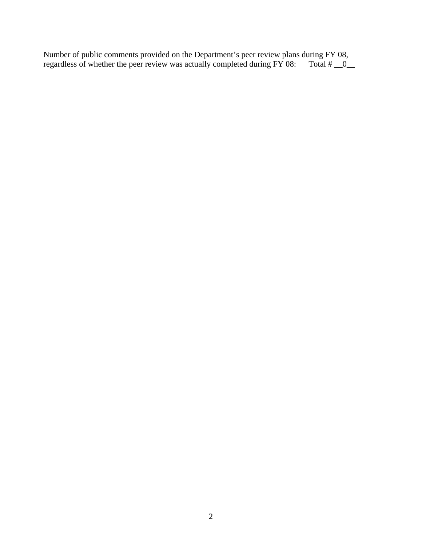Number of public comments provided on the Department's peer review plans during FY 08, regardless of whether the peer review was actually completed during FY 08: Total  $\# \_0$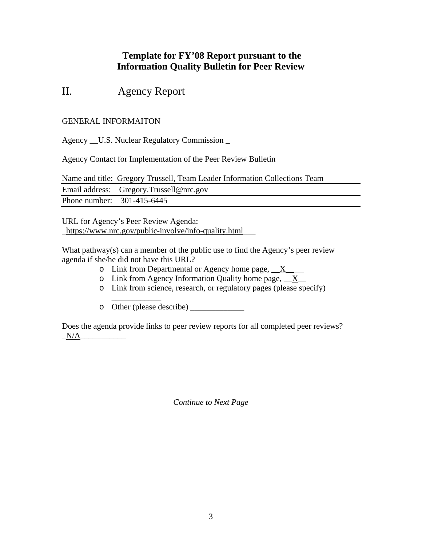## **Template for FY'08 Report pursuant to the Information Quality Bulletin for Peer Review**

# II. Agency Report

#### GENERAL INFORMAITON

Agency \_\_U.S. Nuclear Regulatory Commission \_

Agency Contact for Implementation of the Peer Review Bulletin

Name and title: Gregory Trussell, Team Leader Information Collections Team

|                            | Email address: Gregory.Trussell@nrc.gov |
|----------------------------|-----------------------------------------|
| Phone number: 301-415-6445 |                                         |

URL for Agency's Peer Review Agenda: \_https://www.nrc.gov/public-involve/info-quality.html\_\_\_

What pathway(s) can a member of the public use to find the Agency's peer review agenda if she/he did not have this URL?

- $\circ$  Link from Departmental or Agency home page,  $X$
- $\circ$  Link from Agency Information Quality home page,  $X$
- o Link from science, research, or regulatory pages (please specify)

\_\_\_\_\_\_\_\_\_\_\_\_ o Other (please describe) \_\_\_\_\_\_\_\_\_\_\_\_\_

Does the agenda provide links to peer review reports for all completed peer reviews?  $N/A$ 

*Continue to Next Page*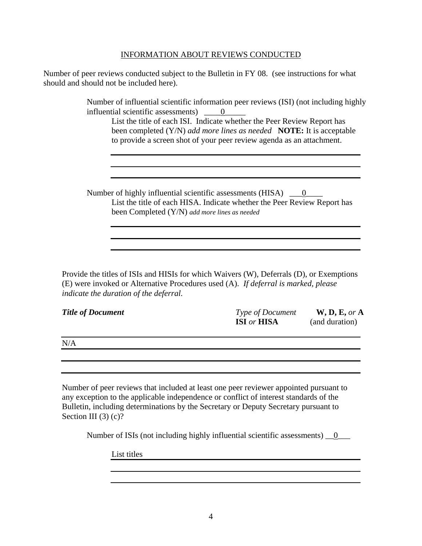#### INFORMATION ABOUT REVIEWS CONDUCTED

Number of peer reviews conducted subject to the Bulletin in FY 08. (see instructions for what should and should not be included here).

> Number of influential scientific information peer reviews (ISI) (not including highly influential scientific assessments)  $\qquad 0$

List the title of each ISI. Indicate whether the Peer Review Report has been completed (Y/N) *add more lines as needed* **NOTE:** It is acceptable to provide a screen shot of your peer review agenda as an attachment.

Number of highly influential scientific assessments  $(HISA)$   $\qquad 0$ List the title of each HISA. Indicate whether the Peer Review Report has been Completed (Y/N) *add more lines as needed*

Provide the titles of ISIs and HISIs for which Waivers (W), Deferrals (D), or Exemptions (E) were invoked or Alternative Procedures used (A). *If deferral is marked, please indicate the duration of the deferral.*

| <b>Title of Document</b> | <b>Type of Document</b>   | W, D, E, or A  |
|--------------------------|---------------------------|----------------|
|                          | <b>ISI</b> or <b>HISA</b> | (and duration) |
|                          |                           |                |

 $N/A$ 

Number of peer reviews that included at least one peer reviewer appointed pursuant to any exception to the applicable independence or conflict of interest standards of the Bulletin, including determinations by the Secretary or Deputy Secretary pursuant to Section III  $(3)$   $(c)?$ 

Number of ISIs (not including highly influential scientific assessments) <u>\_0</u>\_\_\_

List titles